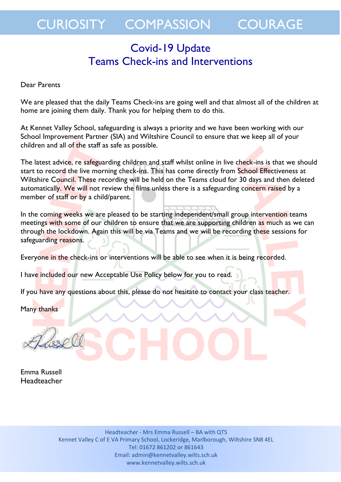## CURIOSITY COMPASSION COURAGE

### Covid-19 Update Teams Check-ins and Interventions

#### Dear Parents

We are pleased that the daily Teams Check-ins are going well and that almost all of the children at home are joining them daily. Thank you for helping them to do this.

At Kennet Valley School, safeguarding is always a priority and we have been working with our School Improvement Partner (SIA) and Wiltshire Council to ensure that we keep all of your children and all of the staff as safe as possible.

The latest advice, re safeguarding children and staff whilst online in live check-ins is that we should start to record the live morning check-ins. This has come directly from School Effectiveness at Wiltshire Council. These recording will be held on the Teams cloud for 30 days and then deleted automatically. We will not review the films unless there is a safeguarding concern raised by a member of staff or by a child/parent.

In the coming weeks we are pleased to be starting independent/small group intervention teams meetings with some of our children to ensure that we are supporting children as much as we can through the lockdown. Again this will be via Teams and we will be recording these sessions for safeguarding reasons.

Everyone in the check-ins or interventions will be able to see when it is being recorded.

I have included our new Acceptable Use Policy below for you to read.

If you have any questions about this, please do not hesitate to contact your class teacher.

Many thanks

Emma Russell Headteacher

> Headteacher - Mrs Emma Russell – BA with QTS Kennet Valley C of E VA Primary School, Lockeridge, Marlborough, Wiltshire SN8 4EL Tel: 01672 861202 or 861643 Email: admin@kennetvalley.wilts.sch.uk www.kennetvalley.wilts.sch.uk